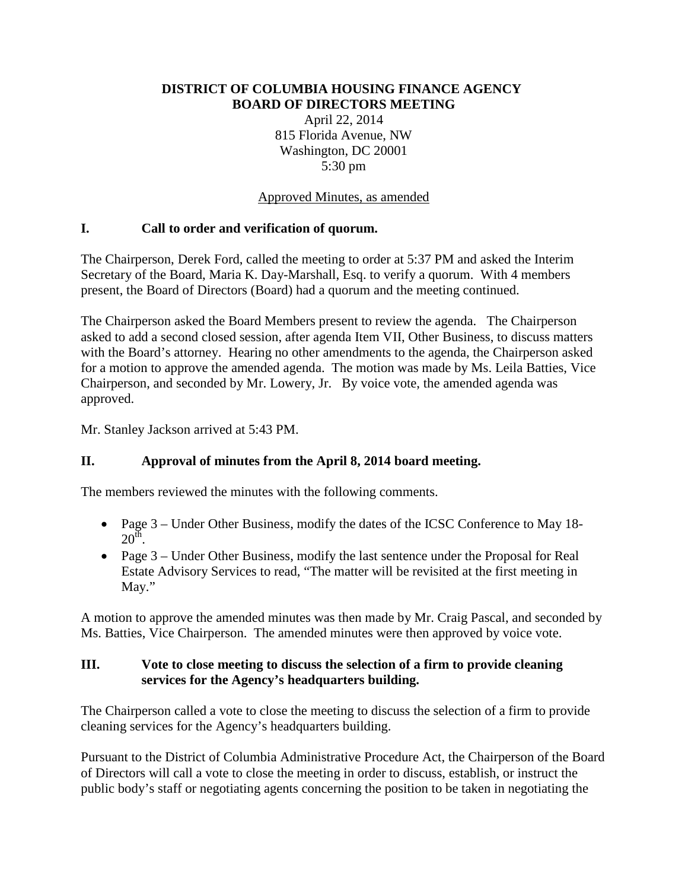### **DISTRICT OF COLUMBIA HOUSING FINANCE AGENCY BOARD OF DIRECTORS MEETING**

April 22, 2014 815 Florida Avenue, NW Washington, DC 20001 5:30 pm

#### Approved Minutes, as amended

### **I. Call to order and verification of quorum.**

The Chairperson, Derek Ford, called the meeting to order at 5:37 PM and asked the Interim Secretary of the Board, Maria K. Day-Marshall, Esq. to verify a quorum. With 4 members present, the Board of Directors (Board) had a quorum and the meeting continued.

The Chairperson asked the Board Members present to review the agenda. The Chairperson asked to add a second closed session, after agenda Item VII, Other Business, to discuss matters with the Board's attorney. Hearing no other amendments to the agenda, the Chairperson asked for a motion to approve the amended agenda. The motion was made by Ms. Leila Batties, Vice Chairperson, and seconded by Mr. Lowery, Jr. By voice vote, the amended agenda was approved.

Mr. Stanley Jackson arrived at 5:43 PM.

## **II. Approval of minutes from the April 8, 2014 board meeting.**

The members reviewed the minutes with the following comments.

- Page 3 Under Other Business, modify the dates of the ICSC Conference to May 18- $20^{\rm th}$ .
- Page 3 Under Other Business, modify the last sentence under the Proposal for Real Estate Advisory Services to read, "The matter will be revisited at the first meeting in May."

A motion to approve the amended minutes was then made by Mr. Craig Pascal, and seconded by Ms. Batties, Vice Chairperson. The amended minutes were then approved by voice vote.

### **III. Vote to close meeting to discuss the selection of a firm to provide cleaning services for the Agency's headquarters building.**

The Chairperson called a vote to close the meeting to discuss the selection of a firm to provide cleaning services for the Agency's headquarters building.

Pursuant to the District of Columbia Administrative Procedure Act, the Chairperson of the Board of Directors will call a vote to close the meeting in order to discuss, establish, or instruct the public body's staff or negotiating agents concerning the position to be taken in negotiating the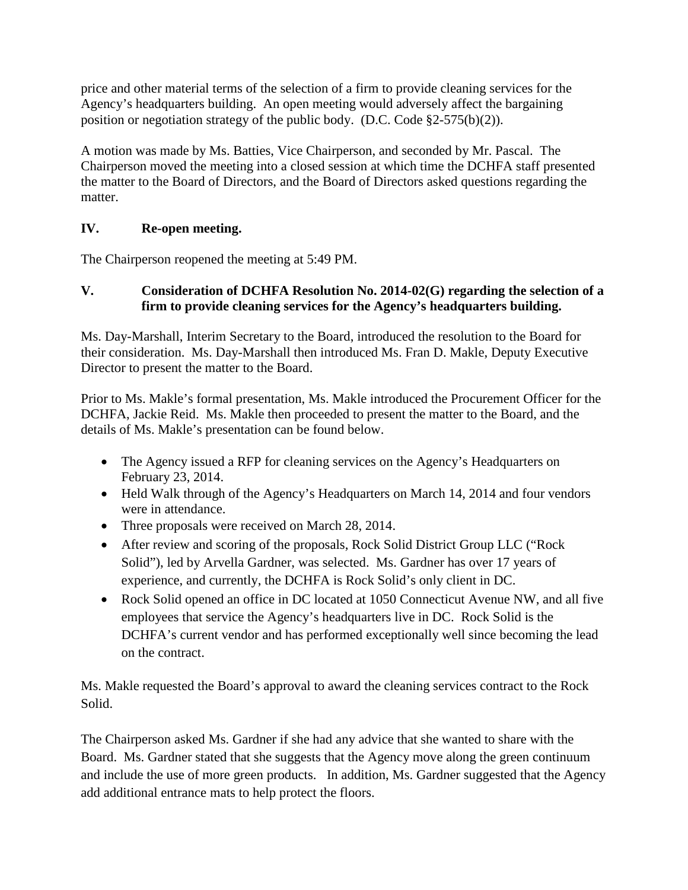price and other material terms of the selection of a firm to provide cleaning services for the Agency's headquarters building. An open meeting would adversely affect the bargaining position or negotiation strategy of the public body. (D.C. Code §2-575(b)(2)).

A motion was made by Ms. Batties, Vice Chairperson, and seconded by Mr. Pascal. The Chairperson moved the meeting into a closed session at which time the DCHFA staff presented the matter to the Board of Directors, and the Board of Directors asked questions regarding the matter.

# **IV. Re-open meeting.**

The Chairperson reopened the meeting at 5:49 PM.

## **V. Consideration of DCHFA Resolution No. 2014-02(G) regarding the selection of a firm to provide cleaning services for the Agency's headquarters building.**

Ms. Day-Marshall, Interim Secretary to the Board, introduced the resolution to the Board for their consideration. Ms. Day-Marshall then introduced Ms. Fran D. Makle, Deputy Executive Director to present the matter to the Board.

Prior to Ms. Makle's formal presentation, Ms. Makle introduced the Procurement Officer for the DCHFA, Jackie Reid. Ms. Makle then proceeded to present the matter to the Board, and the details of Ms. Makle's presentation can be found below.

- The Agency issued a RFP for cleaning services on the Agency's Headquarters on February 23, 2014.
- Held Walk through of the Agency's Headquarters on March 14, 2014 and four vendors were in attendance.
- Three proposals were received on March 28, 2014.
- After review and scoring of the proposals, Rock Solid District Group LLC ("Rock" Solid"), led by Arvella Gardner, was selected. Ms. Gardner has over 17 years of experience, and currently, the DCHFA is Rock Solid's only client in DC.
- Rock Solid opened an office in DC located at 1050 Connecticut Avenue NW, and all five employees that service the Agency's headquarters live in DC. Rock Solid is the DCHFA's current vendor and has performed exceptionally well since becoming the lead on the contract.

Ms. Makle requested the Board's approval to award the cleaning services contract to the Rock Solid.

The Chairperson asked Ms. Gardner if she had any advice that she wanted to share with the Board. Ms. Gardner stated that she suggests that the Agency move along the green continuum and include the use of more green products. In addition, Ms. Gardner suggested that the Agency add additional entrance mats to help protect the floors.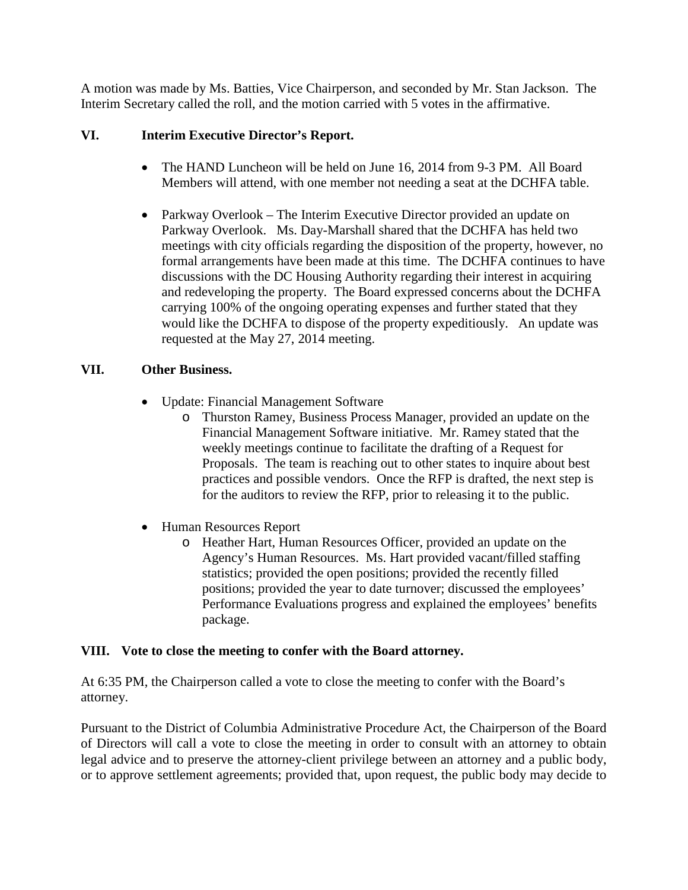A motion was made by Ms. Batties, Vice Chairperson, and seconded by Mr. Stan Jackson. The Interim Secretary called the roll, and the motion carried with 5 votes in the affirmative.

## **VI. Interim Executive Director's Report.**

- The HAND Luncheon will be held on June 16, 2014 from 9-3 PM. All Board Members will attend, with one member not needing a seat at the DCHFA table.
- Parkway Overlook The Interim Executive Director provided an update on Parkway Overlook. Ms. Day-Marshall shared that the DCHFA has held two meetings with city officials regarding the disposition of the property, however, no formal arrangements have been made at this time. The DCHFA continues to have discussions with the DC Housing Authority regarding their interest in acquiring and redeveloping the property. The Board expressed concerns about the DCHFA carrying 100% of the ongoing operating expenses and further stated that they would like the DCHFA to dispose of the property expeditiously. An update was requested at the May 27, 2014 meeting.

## **VII. Other Business.**

- Update: Financial Management Software
	- o Thurston Ramey, Business Process Manager, provided an update on the Financial Management Software initiative. Mr. Ramey stated that the weekly meetings continue to facilitate the drafting of a Request for Proposals. The team is reaching out to other states to inquire about best practices and possible vendors. Once the RFP is drafted, the next step is for the auditors to review the RFP, prior to releasing it to the public.
- Human Resources Report
	- o Heather Hart, Human Resources Officer, provided an update on the Agency's Human Resources. Ms. Hart provided vacant/filled staffing statistics; provided the open positions; provided the recently filled positions; provided the year to date turnover; discussed the employees' Performance Evaluations progress and explained the employees' benefits package.

## **VIII. Vote to close the meeting to confer with the Board attorney.**

At 6:35 PM, the Chairperson called a vote to close the meeting to confer with the Board's attorney.

Pursuant to the District of Columbia Administrative Procedure Act, the Chairperson of the Board of Directors will call a vote to close the meeting in order to consult with an attorney to obtain legal advice and to preserve the attorney-client privilege between an attorney and a public body, or to approve settlement agreements; provided that, upon request, the public body may decide to